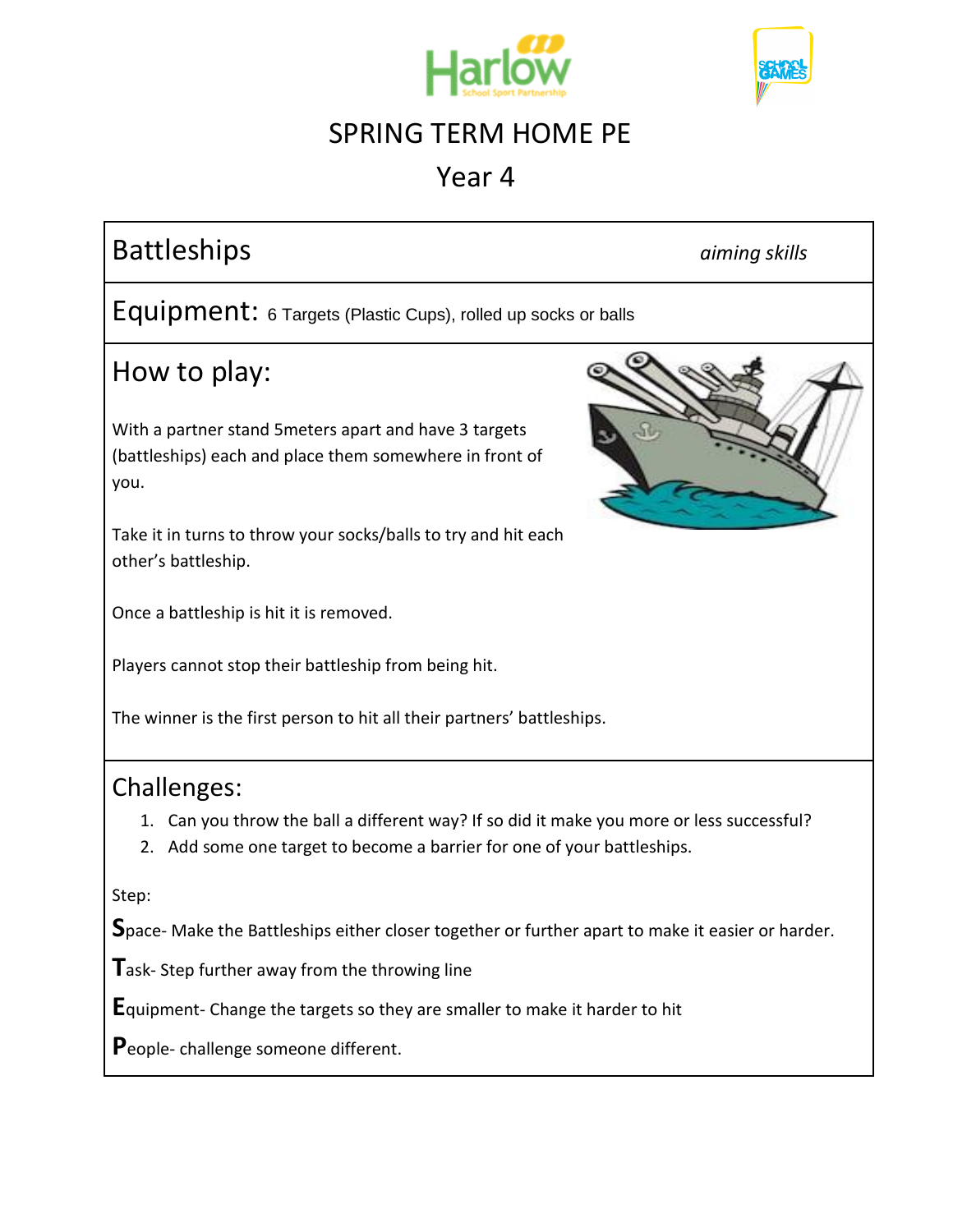



## Year 4

# Battleships *aiming skills*

Equipment: 6 Targets (Plastic Cups), rolled up socks or balls

#### How to play:

With a partner stand 5meters apart and have 3 targets (battleships) each and place them somewhere in front of you.

Take it in turns to throw your socks/balls to try and hit each other's battleship.

Once a battleship is hit it is removed.

Players cannot stop their battleship from being hit.

The winner is the first person to hit all their partners' battleships.

#### Challenges:

- 1. Can you throw the ball a different way? If so did it make you more or less successful?
- 2. Add some one target to become a barrier for one of your battleships.

Step:

**S**pace- Make the Battleships either closer together or further apart to make it easier or harder.

**T**ask- Step further away from the throwing line

**E**quipment- Change the targets so they are smaller to make it harder to hit

**P**eople- challenge someone different.

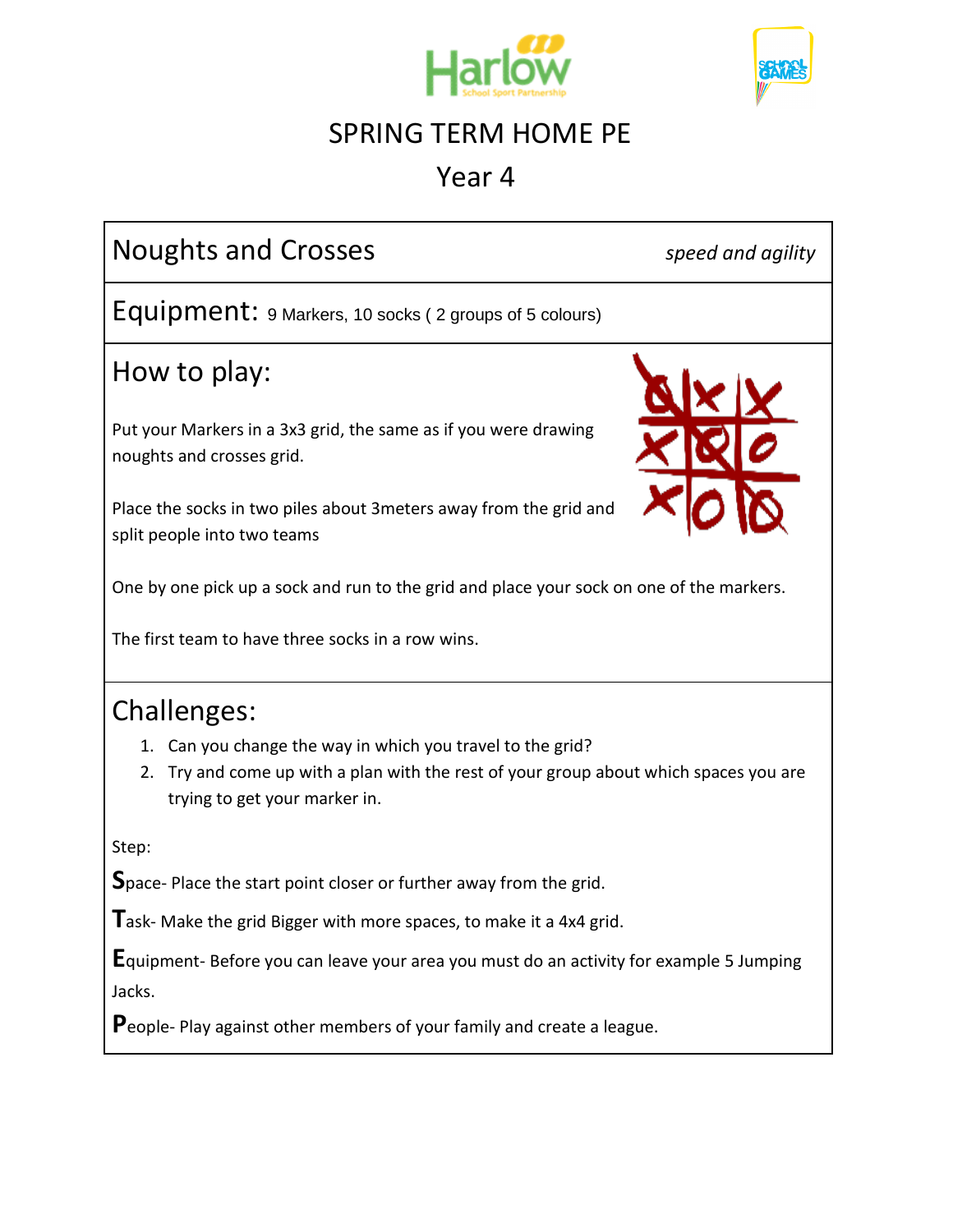



## Year 4

| <b>Noughts and Crosses</b>                                                                                                                                                              | speed and agility |  |
|-----------------------------------------------------------------------------------------------------------------------------------------------------------------------------------------|-------------------|--|
| Equipment: 9 Markers, 10 socks (2 groups of 5 colours)                                                                                                                                  |                   |  |
| How to play:                                                                                                                                                                            |                   |  |
| Put your Markers in a 3x3 grid, the same as if you were drawing<br>noughts and crosses grid.                                                                                            |                   |  |
| Place the socks in two piles about 3meters away from the grid and<br>split people into two teams                                                                                        |                   |  |
| One by one pick up a sock and run to the grid and place your sock on one of the markers.                                                                                                |                   |  |
| The first team to have three socks in a row wins.                                                                                                                                       |                   |  |
| <b>Challenges:</b>                                                                                                                                                                      |                   |  |
| 1. Can you change the way in which you travel to the grid?<br>Try and come up with a plan with the rest of your group about which spaces you are<br>2.<br>trying to get your marker in. |                   |  |
| Step:                                                                                                                                                                                   |                   |  |
| Space-Place the start point closer or further away from the grid.                                                                                                                       |                   |  |
| $\Gamma$ ask- Make the grid Bigger with more spaces, to make it a 4x4 grid.                                                                                                             |                   |  |
| <b>E</b> quipment-Before you can leave your area you must do an activity for example 5 Jumping<br>Jacks.                                                                                |                   |  |
| People-Play against other members of your family and create a league.                                                                                                                   |                   |  |
|                                                                                                                                                                                         |                   |  |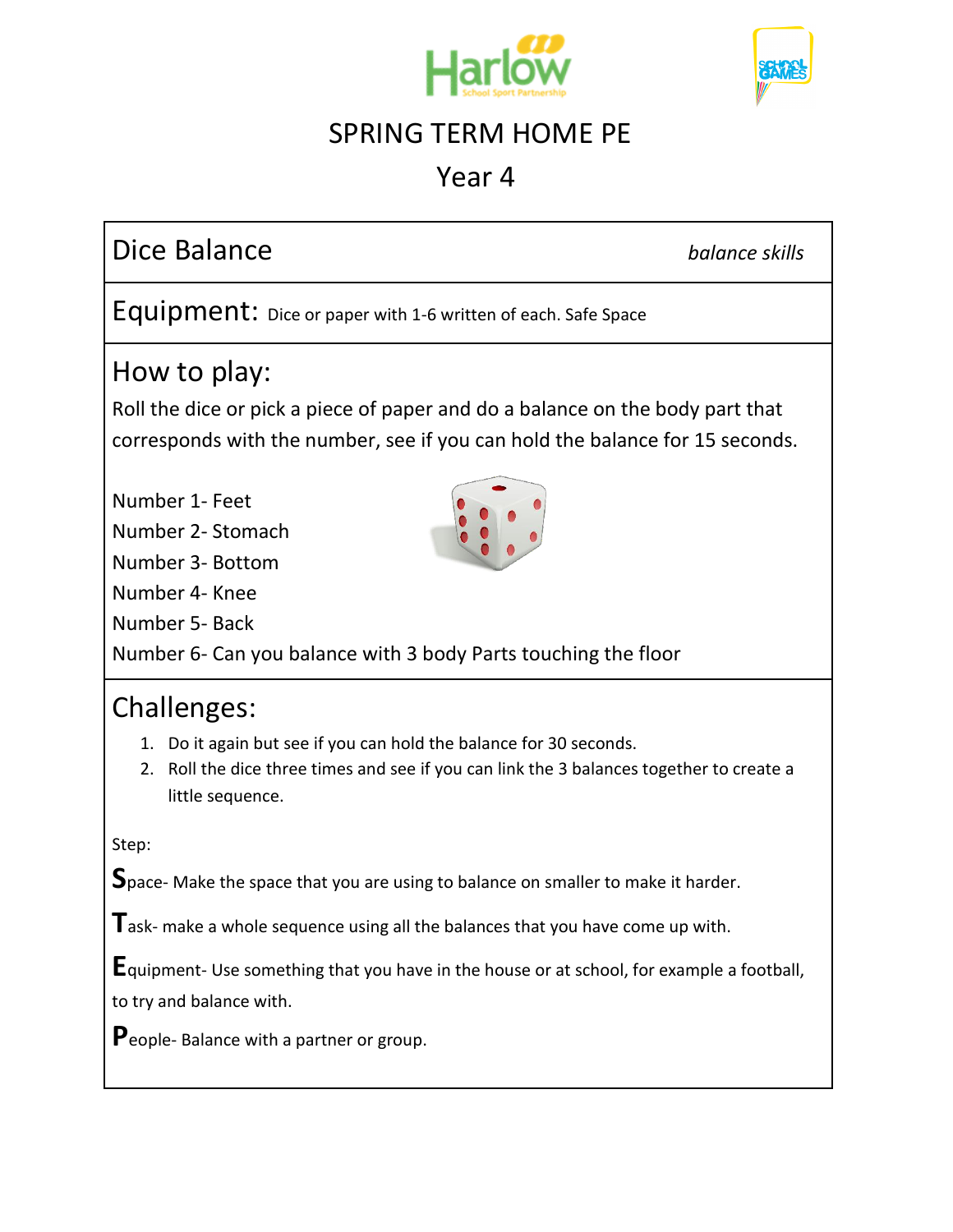



## Year 4

# Dice Balance *balance skills*

Equipment: Dice or paper with 1-6 written of each. Safe Space

#### How to play:

Roll the dice or pick a piece of paper and do a balance on the body part that corresponds with the number, see if you can hold the balance for 15 seconds.

Number 1- Feet

Number 2- Stomach

Number 3- Bottom

Number 4- Knee

Number 5- Back

Number 6- Can you balance with 3 body Parts touching the floor

#### Challenges:

- 1. Do it again but see if you can hold the balance for 30 seconds.
- 2. Roll the dice three times and see if you can link the 3 balances together to create a little sequence.

Step:

**S**pace- Make the space that you are using to balance on smaller to make it harder.

**T**ask- make a whole sequence using all the balances that you have come up with.

**E**quipment- Use something that you have in the house or at school, for example a football,

to try and balance with.

**P**eople- Balance with a partner or group.

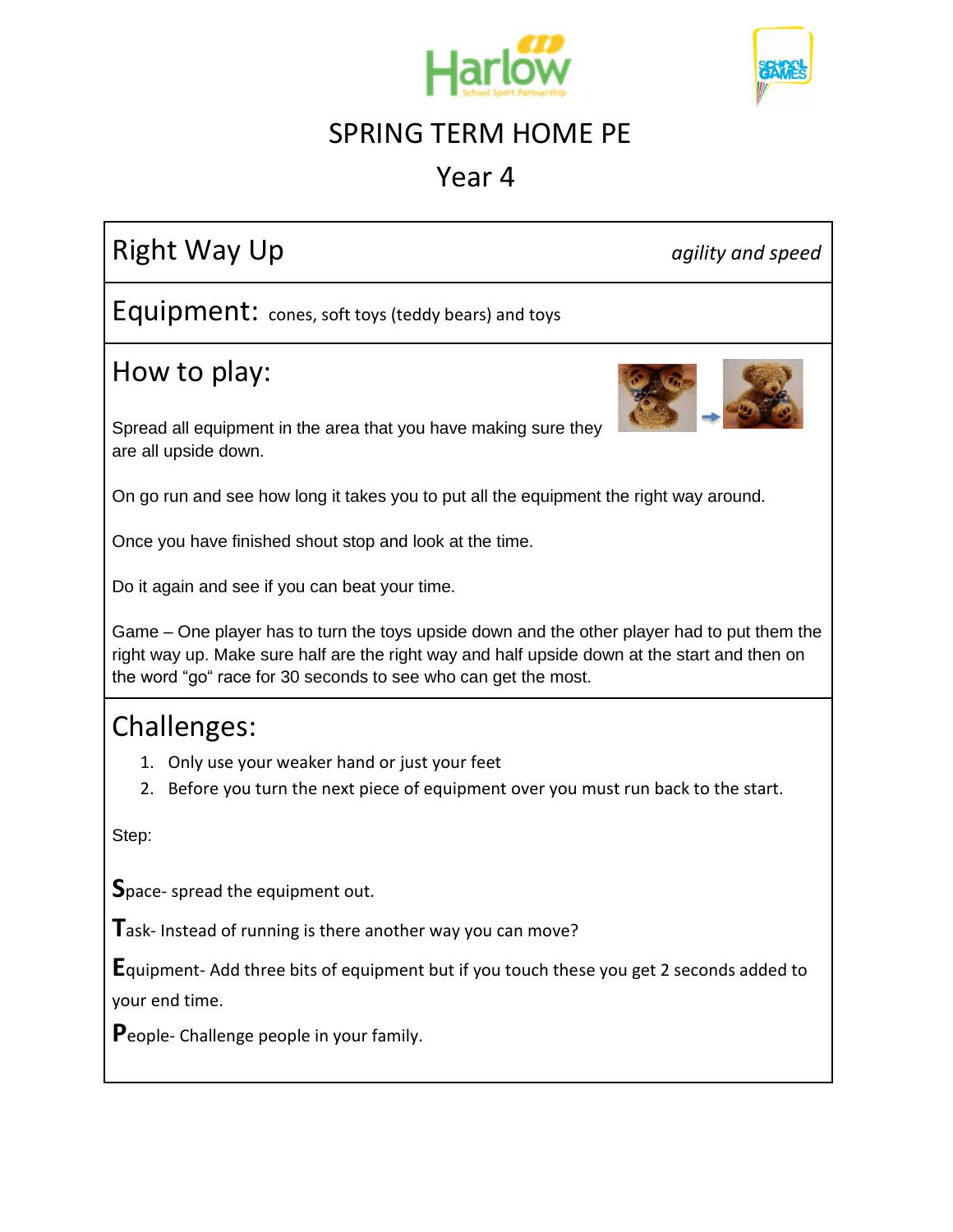



## Year 4

# Right Way Up **and Secure 2018** and speed and speed and speed and speed and speed and speed and speed and speed

Equipment: cones, soft toys (teddy bears) and toys

## How to play:



Spread all equipment in the area that you have making sure they are all upside down.

On go run and see how long it takes you to put all the equipment the right way around.

Once you have finished shout stop and look at the time.

Do it again and see if you can beat your time.

Game – One player has to turn the toys upside down and the other player had to put them the right way up. Make sure half are the right way and half upside down at the start and then on the word "go" race for 30 seconds to see who can get the most.

## Challenges:

- 1. Only use your weaker hand or just your feet
- 2. Before you turn the next piece of equipment over you must run back to the start.

Step:

**S**pace- spread the equipment out.

**T**ask- Instead of running is there another way you can move?

**E**quipment- Add three bits of equipment but if you touch these you get 2 seconds added to your end time.

**P**eople- Challenge people in your family.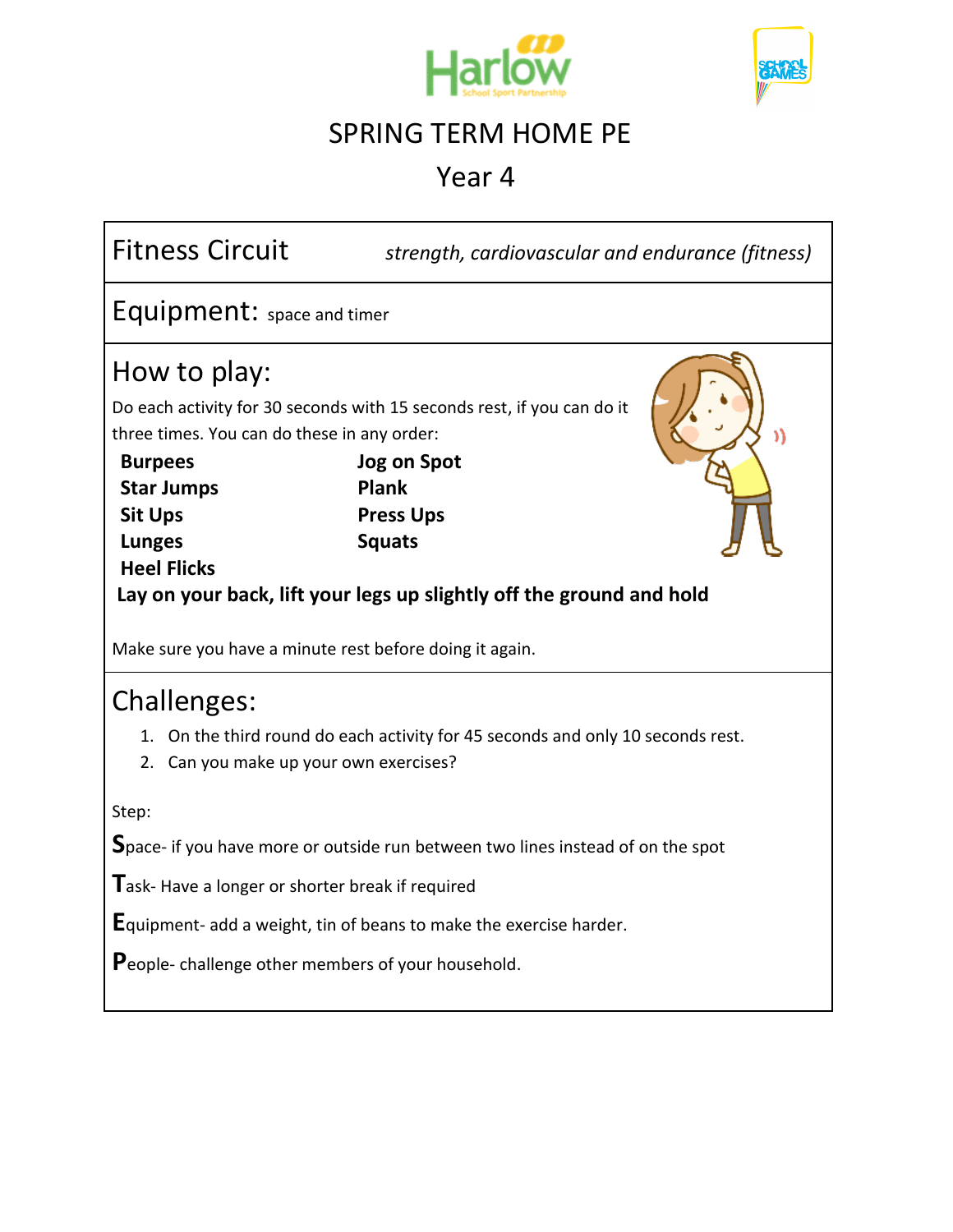



Year 4

| <b>Fitness Circuit</b>                                                                                                                                                                                                                                                                                                                                                     | strength, cardiovascular and endurance (fitness) |  |  |
|----------------------------------------------------------------------------------------------------------------------------------------------------------------------------------------------------------------------------------------------------------------------------------------------------------------------------------------------------------------------------|--------------------------------------------------|--|--|
| Equipment: space and timer                                                                                                                                                                                                                                                                                                                                                 |                                                  |  |  |
| How to play:<br>Do each activity for 30 seconds with 15 seconds rest, if you can do it<br>three times. You can do these in any order:<br>Jog on Spot<br><b>Burpees</b><br>Plank<br><b>Star Jumps</b><br><b>Sit Ups</b><br><b>Press Ups</b><br><b>Squats</b><br><b>Lunges</b><br><b>Heel Flicks</b><br>Lay on your back, lift your legs up slightly off the ground and hold |                                                  |  |  |
| Make sure you have a minute rest before doing it again.                                                                                                                                                                                                                                                                                                                    |                                                  |  |  |
| Challenges:<br>1. On the third round do each activity for 45 seconds and only 10 seconds rest.<br>2. Can you make up your own exercises?<br>Step:                                                                                                                                                                                                                          |                                                  |  |  |
| Space- if you have more or outside run between two lines instead of on the spot                                                                                                                                                                                                                                                                                            |                                                  |  |  |
| Task-Have a longer or shorter break if required                                                                                                                                                                                                                                                                                                                            |                                                  |  |  |
| <b>E</b> quipment- add a weight, tin of beans to make the exercise harder.                                                                                                                                                                                                                                                                                                 |                                                  |  |  |
| People- challenge other members of your household.                                                                                                                                                                                                                                                                                                                         |                                                  |  |  |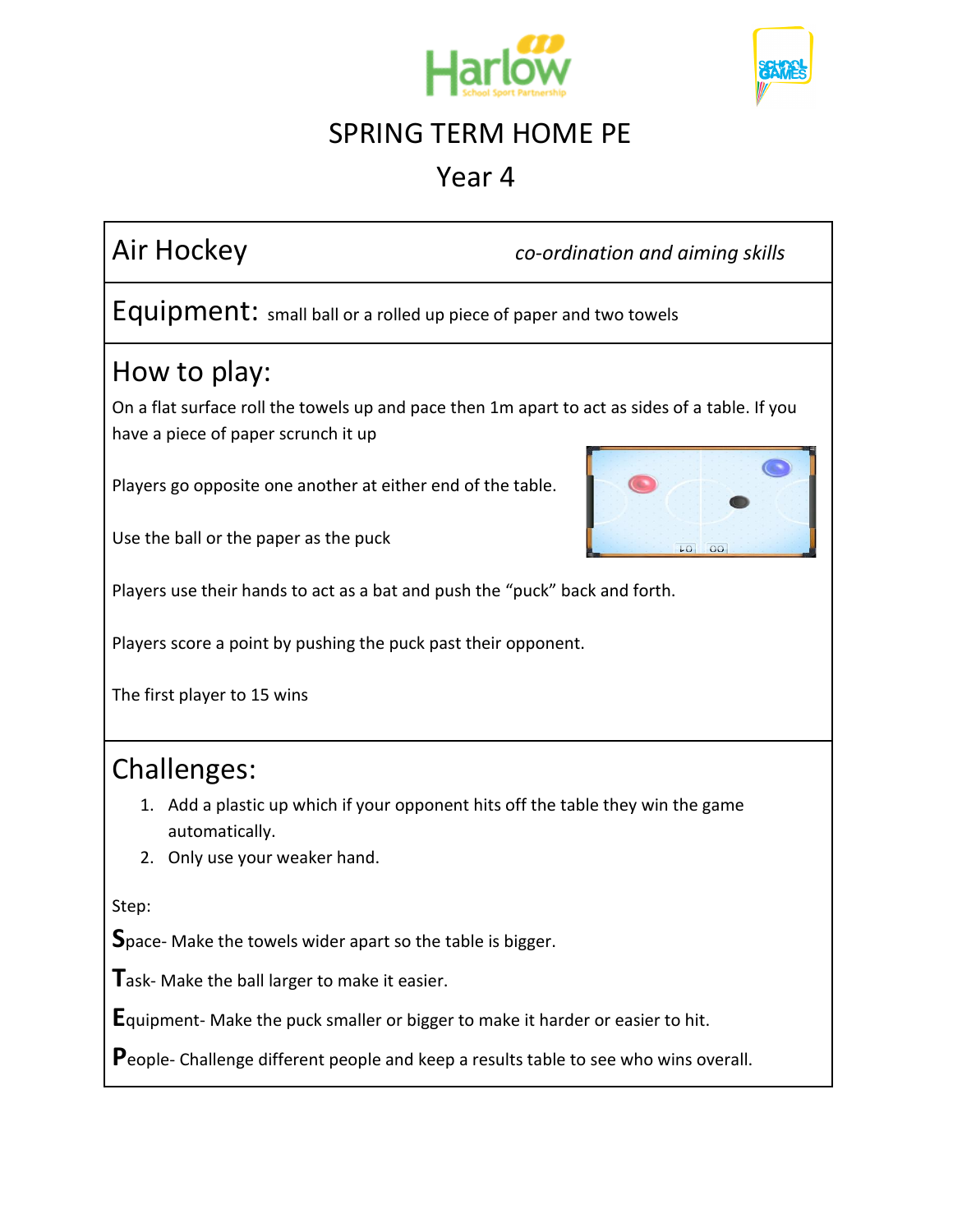



## Year 4

Air Hockey *co-ordination and aiming skills*

Equipment: small ball or a rolled up piece of paper and two towels

## How to play:

On a flat surface roll the towels up and pace then 1m apart to act as sides of a table. If you have a piece of paper scrunch it up

Players go opposite one another at either end of the table.



Use the ball or the paper as the puck

Players use their hands to act as a bat and push the "puck" back and forth.

Players score a point by pushing the puck past their opponent.

The first player to 15 wins

## Challenges:

- 1. Add a plastic up which if your opponent hits off the table they win the game automatically.
- 2. Only use your weaker hand.

Step:

**S**pace- Make the towels wider apart so the table is bigger.

**T**ask- Make the ball larger to make it easier.

**E**quipment- Make the puck smaller or bigger to make it harder or easier to hit.

**P**eople- Challenge different people and keep a results table to see who wins overall.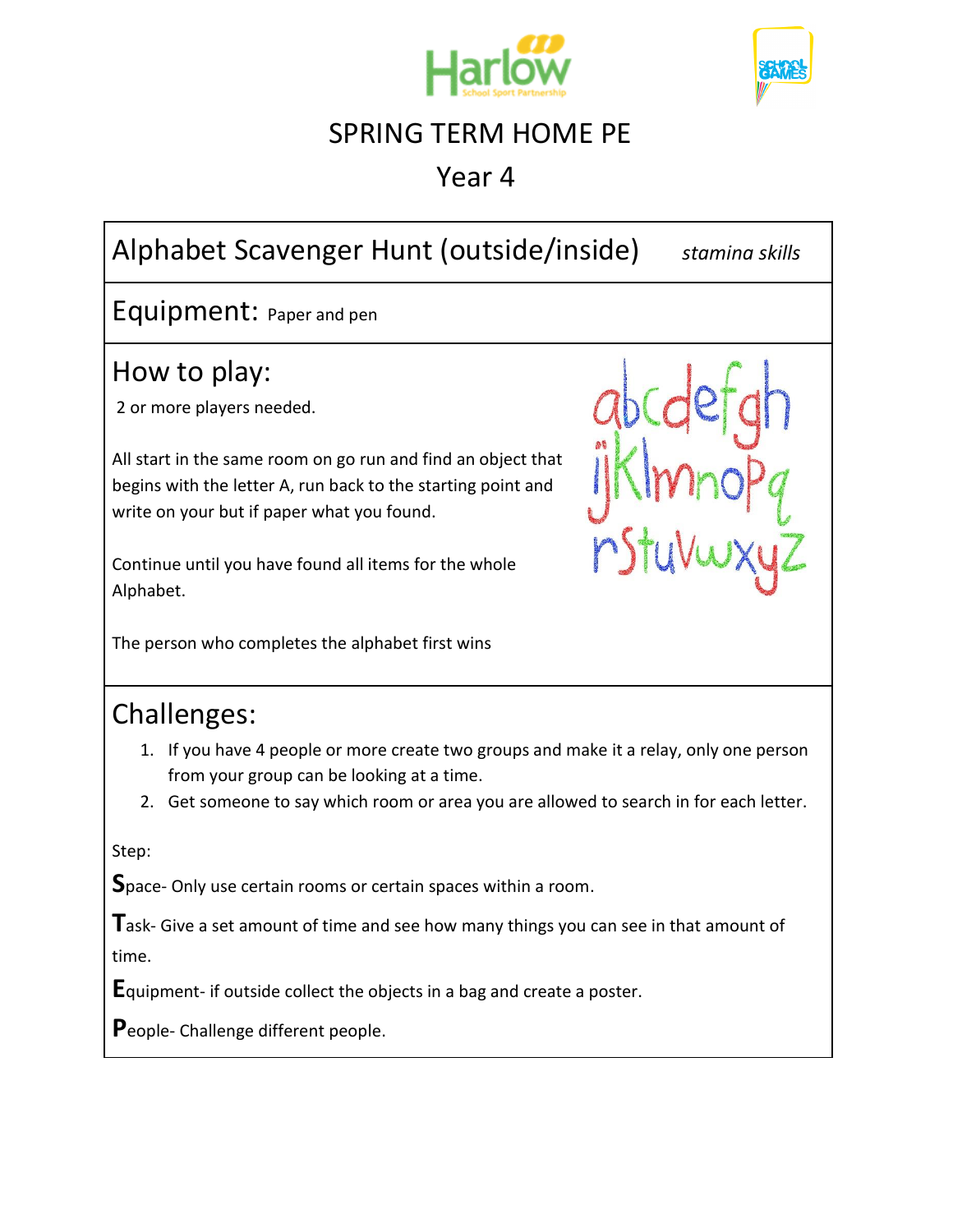



Year 4

# Alphabet Scavenger Hunt (outside/inside) *stamina skills*

Equipment: Paper and pen

## How to play:

2 or more players needed.

All start in the same room on go run and find an object that begins with the letter A, run back to the starting point and write on your but if paper what you found.

Continue until you have found all items for the whole Alphabet.

The person who completes the alphabet first wins



## Challenges:

- 1. If you have 4 people or more create two groups and make it a relay, only one person from your group can be looking at a time.
- 2. Get someone to say which room or area you are allowed to search in for each letter.

Step:

**S**pace- Only use certain rooms or certain spaces within a room.

Task- Give a set amount of time and see how many things you can see in that amount of time.

**E**quipment- if outside collect the objects in a bag and create a poster.

**P**eople- Challenge different people.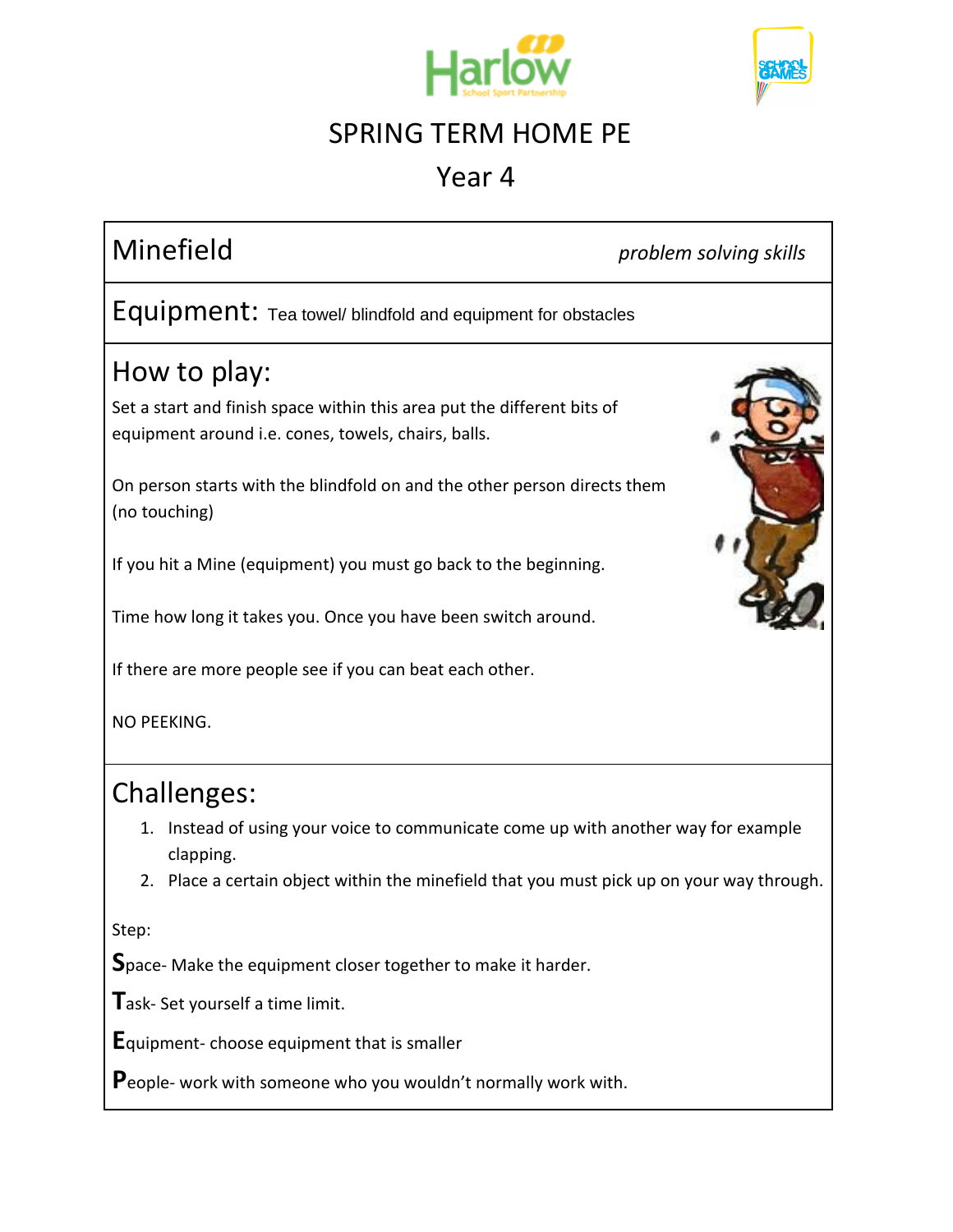



## Year 4

Minefield *problem solving skills*

Equipment: Tea towel/ blindfold and equipment for obstacles

## How to play:

Set a start and finish space within this area put the different bits of equipment around i.e. cones, towels, chairs, balls.

On person starts with the blindfold on and the other person directs them (no touching)

If you hit a Mine (equipment) you must go back to the beginning.

Time how long it takes you. Once you have been switch around.

If there are more people see if you can beat each other.

NO PEEKING.

#### Challenges:

- 1. Instead of using your voice to communicate come up with another way for example clapping.
- 2. Place a certain object within the minefield that you must pick up on your way through.

Step:

Space- Make the equipment closer together to make it harder.

**T**ask- Set yourself a time limit.

**E**quipment- choose equipment that is smaller

**P**eople- work with someone who you wouldn't normally work with.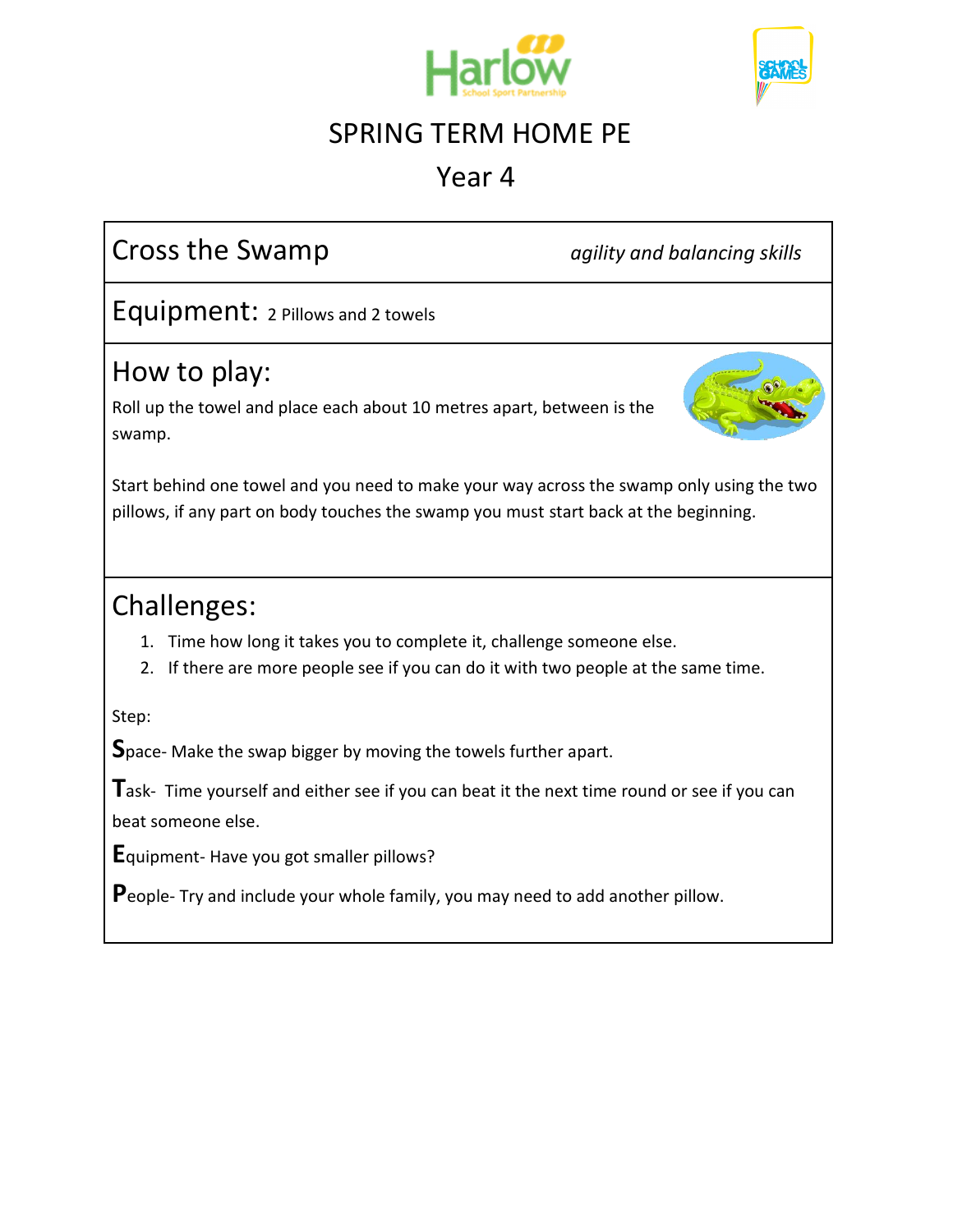



#### Year 4

## Cross the Swamp *agility and balancing skills*

Equipment: 2 Pillows and 2 towels

## How to play:

Roll up the towel and place each about 10 metres apart, between is the swamp.



Start behind one towel and you need to make your way across the swamp only using the two pillows, if any part on body touches the swamp you must start back at the beginning.

#### Challenges:

- 1. Time how long it takes you to complete it, challenge someone else.
- 2. If there are more people see if you can do it with two people at the same time.

Step:

**S**pace- Make the swap bigger by moving the towels further apart.

**T**ask- Time yourself and either see if you can beat it the next time round or see if you can beat someone else.

**E**quipment- Have you got smaller pillows?

**P**eople- Try and include your whole family, you may need to add another pillow.